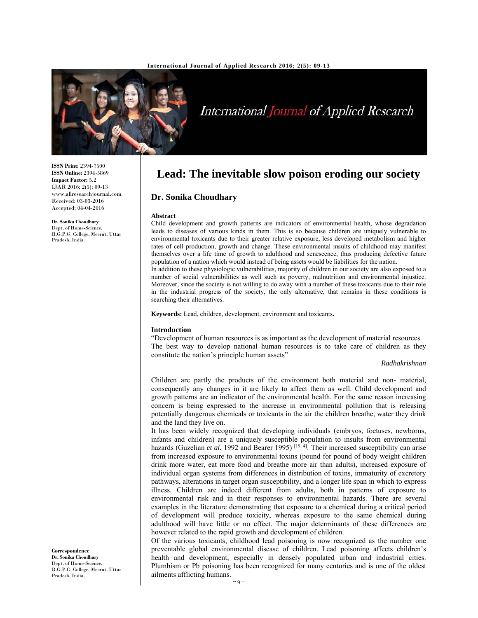

# International Journal of Applied Research

**ISSN Print:** 2394-7500 **ISSN Online:** 2394-5869 **Impact Factor:** 5.2 IJAR 2016; 2(5): 09-13 www.allresearchjournal.com Received: 03-03-2016 Accepted: 04-04-2016

**Dr. Sonika Choudhary**  Dept. of Home-Science.

R.G.P.G. College, Meerut, Uttar Pradesh, India.

**Lead: The inevitable slow poison eroding our society** 

# **Dr. Sonika Choudhary**

#### **Abstract**

Child development and growth patterns are indicators of environmental health, whose degradation leads to diseases of various kinds in them. This is so because children are uniquely vulnerable to environmental toxicants due to their greater relative exposure, less developed metabolism and higher rates of cell production, growth and change. These environmental insults of childhood may manifest themselves over a life time of growth to adulthood and senescence, thus producing defective future population of a nation which would instead of being assets would be liabilities for the nation.

In addition to these physiologic vulnerabilities, majority of children in our society are also exposed to a number of social vulnerabilities as well such as poverty, malnutrition and environmental injustice. Moreover, since the society is not willing to do away with a number of these toxicants due to their role in the industrial progress of the society, the only alternative, that remains in these conditions is searching their alternatives.

**Keywords:** Lead, children, development, environment and toxicants**.**

### **Introduction**

"Development of human resources is as important as the development of material resources. The best way to develop national human resources is to take care of children as they constitute the nation's principle human assets"

#### *Radhakrishnan*

Children are partly the products of the environment both material and non- material, consequently any changes in it are likely to affect them as well. Child development and growth patterns are an indicator of the environmental health. For the same reason increasing concern is being expressed to the increase in environmental pollution that is releasing potentially dangerous chemicals or toxicants in the air the children breathe, water they drink and the land they live on.

It has been widely recognized that developing individuals (embryos, foetuses, newborns, infants and children) are a uniquely susceptible population to insults from environmental hazards (Guzelian *et al.* 1992 and Bearer 1995)<sup>[19,4]</sup>. Their increased susceptibility can arise from increased exposure to environmental toxins (pound for pound of body weight children drink more water, eat more food and breathe more air than adults), increased exposure of individual organ systems from differences in distribution of toxins, immaturity of excretory pathways, alterations in target organ susceptibility, and a longer life span in which to express illness. Children are indeed different from adults, both in patterns of exposure to environmental risk and in their responses to environmental hazards. There are several examples in the literature demonstrating that exposure to a chemical during a critical period of development will produce toxicity, whereas exposure to the same chemical during adulthood will have little or no effect. The major determinants of these differences are however related to the rapid growth and development of children.

Of the various toxicants, childhood lead poisoning is now recognized as the number one preventable global environmental disease of children. Lead poisoning affects children's health and development, especially in densely populated urban and industrial cities. Plumbism or Pb poisoning has been recognized for many centuries and is one of the oldest ailments afflicting humans.

**Correspondence Dr. Sonika Choudhary**  Dept. of Home-Science, R.G.P.G. College, Meerut, Uttar Pradesh, India.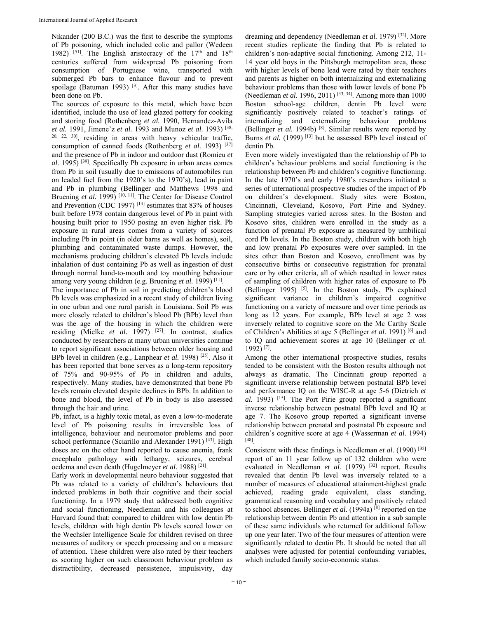Nikander (200 B.C.) was the first to describe the symptoms of Pb poisoning, which included colic and pallor (Wedeen 1982) <sup>[51]</sup>. The English aristocracy of the  $17<sup>th</sup>$  and  $18<sup>th</sup>$ centuries suffered from widespread Pb poisoning from consumption of Portuguese wine, transported with submerged Pb bars to enhance flavour and to prevent spoilage (Batuman 1993)  $[3]$ . After this many studies have been done on Pb.

The sources of exposure to this metal, which have been identified, include the use of lead glazed pottery for cooking and storing food (Rothenberg *et al.* 1990, Hernandez-Avila *et al.* 1991, Jimene'z *et al.* 1993 and Munoz *et al.* 1993) [38, 20, 22, 30], residing in areas with heavy vehicular traffic, consumption of canned foods (Rothenberg *et al.* 1993) [37] and the presence of Pb in indoor and outdoor dust (Romieu *et al.* 1995) [39]. Specifically Pb exposure in urban areas comes from Pb in soil (usually due to emissions of automobiles run on leaded fuel from the 1920's to the 1970's), lead in paint and Pb in plumbing (Bellinger and Matthews 1998 and Bruening *et al.* 1999)<sup>[10, 11]</sup>. The Center for Disease Control and Prevention (CDC 1997) [14] estimates that 83% of houses built before 1978 contain dangerous level of Pb in paint with housing built prior to 1950 posing an even higher risk. Pb exposure in rural areas comes from a variety of sources including Pb in point (in older barns as well as homes), soil, plumbing and contaminated waste dumps. However, the mechanisms producing children's elevated Pb levels include inhalation of dust containing Pb as well as ingestion of dust through normal hand-to-mouth and toy mouthing behaviour among very young children (e.g. Bruening *et al.* 1999) [11].

The importance of Pb in soil in predicting children's blood Pb levels was emphasized in a recent study of children living in one urban and one rural parish in Louisiana. Soil Pb was more closely related to children's blood Pb (BPb) level than was the age of the housing in which the children were residing (Mielke *et al.* 1997) [27]. In contrast, studies conducted by researchers at many urban universities continue to report significant associations between older housing and BPb level in children (e.g., Lanphear *et al.* 1998) [25]. Also it has been reported that bone serves as a long-term repository of 75% and 90-95% of Pb in children and adults, respectively. Many studies, have demonstrated that bone Pb levels remain elevated despite declines in BPb. In addition to bone and blood, the level of Pb in body is also assessed through the hair and urine.

Pb, infact, is a highly toxic metal, as even a low-to-moderate level of Pb poisoning results in irreversible loss of intelligence, behaviour and neuromotor problems and poor school performance (Sciarillo and Alexander 1991)<sup>[43]</sup>. High doses are on the other hand reported to cause anemia, frank encephalo pathology with lethargy, seizures, cerebral oedema and even death (Hugelmeyer *et al.* 1988) [21].

Early work in developmental neuro behaviour suggested that Pb was related to a variety of children's behaviours that indexed problems in both their cognitive and their social functioning. In a 1979 study that addressed both cognitive and social functioning, Needleman and his colleagues at Harvard found that; compared to children with low dentin Pb levels, children with high dentin Pb levels scored lower on the Wechsler Intelligence Scale for children revised on three measures of auditory or speech processing and on a measure of attention. These children were also rated by their teachers as scoring higher on such classroom behaviour problem as distractibility, decreased persistence, impulsivity, day

dreaming and dependency (Needleman *et al.* 1979) [32]. More recent studies replicate the finding that Pb is related to children's non-adaptive social functioning. Among 212, 11- 14 year old boys in the Pittsburgh metropolitan area, those with higher levels of bone lead were rated by their teachers and parents as higher on both internalizing and externalizing behaviour problems than those with lower levels of bone Pb (Needleman *et al.* 1996, 2011)<sup>[33, 34]</sup>. Among more than 1000 Boston school-age children, dentin Pb level were significantly positively related to teacher's ratings of internalizing and externalizing behaviour problems (Bellinger *et al.* 1994b)<sup>[8]</sup>. Similar results were reported by Burns *et al.* (1999)<sup>[13]</sup> but he assessed BPb level instead of dentin Pb.

Even more widely investigated than the relationship of Pb to children's behaviour problems and social functioning is the relationship between Pb and children's cognitive functioning. In the late 1970's and early 1980's researchers initiated a series of international prospective studies of the impact of Pb on children's development. Study sites were Boston, Cincinnati, Cleveland, Kosovo, Port Pirie and Sydney. Sampling strategies varied across sites. In the Boston and Kosovo sites, children were enrolled in the study as a function of prenatal Pb exposure as measured by umbilical cord Pb levels. In the Boston study, children with both high and low prenatal Pb exposures were over sampled. In the sites other than Boston and Kosovo, enrollment was by consecutive births or consecutive registration for prenatal care or by other criteria, all of which resulted in lower rates of sampling of children with higher rates of exposure to Pb (Bellinger 1995)  $[5]$ . In the Boston study, Pb explained significant variance in children's impaired cognitive functioning on a variety of measure and over time periods as long as 12 years. For example, BPb level at age 2 was inversely related to cognitive score on the Mc Carthy Scale of Children's Abilities at age 5 (Bellinger *et al.* 1991) [6] and to IQ and achievement scores at age 10 (Bellinger *et al.* 1992) [7].

Among the other international prospective studies, results tended to be consistent with the Boston results although not always as dramatic. The Cincinnati group reported a significant inverse relationship between postnatal BPb level and performance IQ on the WISC-R at age 5-6 (Dietrich *et al.* 1993) [15]. The Port Pirie group reported a significant inverse relationship between postnatal BPb level and IQ at age 7. The Kosovo group reported a significant inverse relationship between prenatal and postnatal Pb exposure and children's cognitive score at age 4 (Wasserman *et al.* 1994) [48].

Consistent with these findings is Needleman *et al.* (1990) [35] report of an 11 year follow up of 132 children who were evaluated in Needleman et al. (1979) <sup>[32]</sup> report. Results revealed that dentin Pb level was inversely related to a number of measures of educational attainment-highest grade achieved, reading grade equivalent, class standing, grammatical reasoning and vocabulary and positively related to school absences. Bellinger *et al.* (1994a) [8] reported on the relationship between dentin Pb and attention in a sub sample of these same individuals who returned for additional follow up one year later. Two of the four measures of attention were significantly related to dentin Pb. It should be noted that all analyses were adjusted for potential confounding variables, which included family socio-economic status.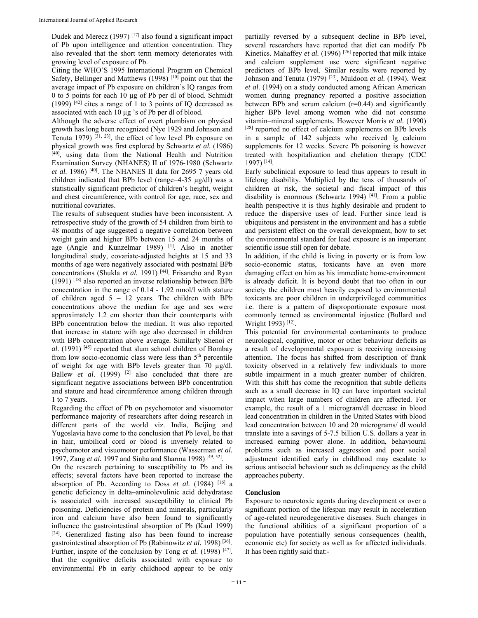Dudek and Merecz (1997) [17] also found a significant impact of Pb upon intelligence and attention concentration. They also revealed that the short term memory deteriorates with growing level of exposure of Pb.

Citing the WHO'S 1995 International Program on Chemical Safety, Bellinger and Matthews (1998)<sup>[10]</sup> point out that the average impact of Pb exposure on children's IQ ranges from 0 to 5 points for each 10 µg of Pb per dl of blood. Schmidt  $(1999)$ <sup>[42]</sup> cites a range of 1 to 3 points of IQ decreased as associated with each 10 µg 's of Pb per dl of blood.

Although the adverse effect of overt plumbism on physical growth has long been recognized (Nye 1929 and Johnson and Tenuta 1979)  $\left[31, 23\right]$ , the effect of low level Pb exposure on physical growth was first explored by Schwartz *et al.* (1986) [40], using data from the National Health and Nutrition Examination Survey (NHANES) II of 1976-1980 (Schwartz *et al.* 1986) [40]. The NHANES II data for 2695 7 years old children indicated that BPb level (range=4-35 µg/dl) was a statistically significant predictor of children's height, weight and chest circumference, with control for age, race, sex and nutritional covariates.

The results of subsequent studies have been inconsistent. A retrospective study of the growth of 54 children from birth to 48 months of age suggested a negative correlation between weight gain and higher BPb between 15 and 24 months of age (Angle and Kunzelmar 1989) [1]. Also in another longitudinal study, covariate-adjusted heights at 15 and 33 months of age were negatively associated with postnatal BPb concentrations (Shukla et al. 1991)<sup>[44]</sup>. Frisancho and Ryan  $(1991)$ <sup>[18]</sup> also reported an inverse relationship between BPb concentration in the range of 0.14 - 1.92 nmol/l with stature of children aged  $5 - 12$  years. The children with BPb concentrations above the median for age and sex were approximately 1.2 cm shorter than their counterparts with BPb concentration below the median. It was also reported that increase in stature with age also decreased in children with BPb concentration above average. Similarly Shenoi *et al.* (1991) [45] reported that slum school children of Bombay from low socio-economic class were less than 5<sup>th</sup> percentile of weight for age with BPb levels greater than 70 µg/dl. Ballew *et al.*  $(1999)$  <sup>[2]</sup> also concluded that there are significant negative associations between BPb concentration and stature and head circumference among children through 1 to 7 years.

Regarding the effect of Pb on psychomotor and visuomotor performance majority of researchers after doing research in different parts of the world viz. India, Beijing and Yugoslavia have come to the conclusion that Pb level, be that in hair, umbilical cord or blood is inversely related to psychomotor and visuomotor performance (Wasserman *et al.* 1997, Zang *et al.* 1997 and Sinha and Sharma 1998) [49, 52].

On the research pertaining to susceptibility to Pb and its effects; several factors have been reported to increase the absorption of Pb. According to Doss *et al.* (1984)  $[16]$  a genetic deficiency in delta–aminolevulinic acid dehydratase is associated with increased susceptibility to clinical Pb poisoning. Deficiencies of protein and minerals, particularly iron and calcium have also been found to significantly influence the gastrointestinal absorption of Pb (Kaul 1999) [24]. Generalized fasting also has been found to increase gastrointestinal absorption of Pb (Rabinowitz *et al.* 1998) [36]. Further, inspite of the conclusion by Tong *et al.* (1998)<sup>[47]</sup>. that the cognitive deficits associated with exposure to environmental Pb in early childhood appear to be only

partially reversed by a subsequent decline in BPb level, several researchers have reported that diet can modify Pb Kinetics. Mahaffey *et al.* (1996)<sup>[26]</sup> reported that milk intake and calcium supplement use were significant negative predictors of BPb level. Similar results were reported by Johnson and Tenuta (1979) [23], Muldoon *et al.* (1994). West *et al.* (1994) on a study conducted among African American women during pregnancy reported a positive association between BPb and serum calcium  $(r=0.44)$  and significantly higher BPb level among women who did not consume vitamin–mineral supplements. However Morris *et al.* (1990) [28] reported no effect of calcium supplements on BPb levels in a sample of 142 subjects who received lg calcium supplements for 12 weeks. Severe Pb poisoning is however treated with hospitalization and chelation therapy (CDC 1997) [14].

Early subclinical exposure to lead thus appears to result in lifelong disability. Multiplied by the tens of thousands of children at risk, the societal and fiscal impact of this disability is enormous (Schwartz 1994)<sup>[41]</sup>. From a public health perspective it is thus highly desirable and prudent to reduce the dispersive uses of lead. Further since lead is ubiquitous and persistent in the environment and has a subtle and persistent effect on the overall development, how to set the environmental standard for lead exposure is an important scientific issue still open for debate.

In addition, if the child is living in poverty or is from low socio-economic status, toxicants have an even more damaging effect on him as his immediate home-environment is already deficit. It is beyond doubt that too often in our society the children most heavily exposed to environmental toxicants are poor children in underprivileged communities i.e. there is a pattern of disproportionate exposure most commonly termed as environmental injustice (Bullard and Wright 1993)<sup>[12]</sup>.

This potential for environmental contaminants to produce neurological, cognitive, motor or other behaviour deficits as a result of developmental exposure is receiving increasing attention. The focus has shifted from description of frank toxicity observed in a relatively few individuals to more subtle impairment in a much greater number of children. With this shift has come the recognition that subtle deficits such as a small decrease in IQ can have important societal impact when large numbers of children are affected. For example, the result of a 1 microgram/dl decrease in blood lead concentration in children in the United States with blood lead concentration between 10 and 20 micrograms/ dl would translate into a savings of 5-7.5 billion U.S. dollars a year in increased earning power alone. In addition, behavioural problems such as increased aggression and poor social adjustment identified early in childhood may escalate to serious antisocial behaviour such as delinquency as the child approaches puberty.

# **Conclusion**

Exposure to neurotoxic agents during development or over a significant portion of the lifespan may result in acceleration of age-related neurodegenerative diseases. Such changes in the functional abilities of a significant proportion of a population have potentially serious consequences (health, economic etc) for society as well as for affected individuals. It has been rightly said that:-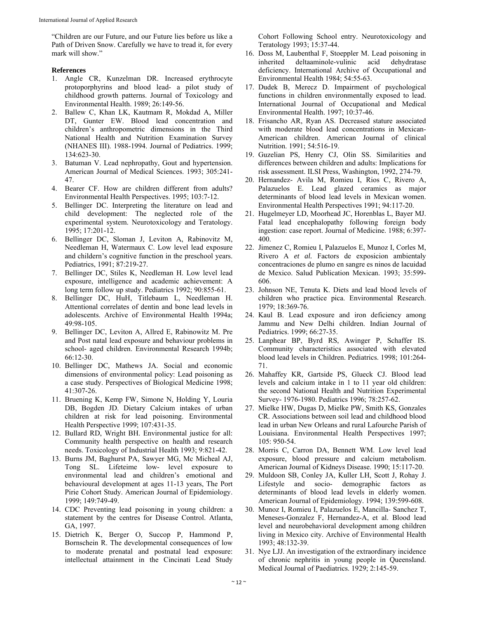"Children are our Future, and our Future lies before us like a Path of Driven Snow. Carefully we have to tread it, for every mark will show."

#### **References**

- 1. Angle CR, Kunzelman DR. Increased erythrocyte protoporphyrins and blood lead- a pilot study of childhood growth patterns. Journal of Toxicology and Environmental Health. 1989; 26:149-56.
- 2. Ballew C, Khan LK, Kautmam R, Mokdad A, Miller DT, Gunter EW. Blood lead concentration and children's anthropometric dimensions in the Third National Health and Nutrition Examination Survey (NHANES III). 1988-1994. Journal of Pediatrics. 1999; 134:623-30.
- 3. Batuman V. Lead nephropathy, Gout and hypertension. American Journal of Medical Sciences. 1993; 305:241- 47.
- 4. Bearer CF. How are children different from adults? Environmental Health Perspectives. 1995; 103:7-12.
- 5. Bellinger DC. Interpreting the literature on lead and child development: The neglected role of the experimental system. Neurotoxicology and Teratology. 1995; 17:201-12.
- 6. Bellinger DC, Sloman J, Leviton A, Rabinovitz M, Needleman H, Watermaux C. Low level lead exposure and childern's cognitive function in the preschool years. Pediatrics, 1991; 87:219-27.
- 7. Bellinger DC, Stiles K, Needleman H. Low level lead exposure, intelligence and academic achievement: A long term follow up study. Pediatrics 1992; 90:855-61.
- 8. Bellinger DC, HuH, Titlebaum L, Needleman H. Attentional correlates of dentin and bone lead levels in adolescents. Archive of Environmental Health 1994a; 49:98-105.
- 9. Bellinger DC, Leviton A, Allred E, Rabinowitz M. Pre and Post natal lead exposure and behaviour problems in school- aged children. Environmental Research 1994b; 66:12-30.
- 10. Bellinger DC, Mathews JA. Social and economic dimensions of environmental policy: Lead poisoning as a case study. Perspectives of Biological Medicine 1998; 41:307-26.
- 11. Bruening K, Kemp FW, Simone N, Holding Y, Louria DB, Bogden JD. Dietary Calcium intakes of urban children at risk for lead poisoning. Environmental Health Perspective 1999; 107:431-35.
- 12. Bullard RD, Wright BH. Environmental justice for all: Community health perspective on health and research needs. Toxicology of Industrial Health 1993; 9:821-42.
- 13. Burns JM, Baghurst PA, Sawyer MG, Mc Micheal AJ, Tong SL. Lifeteime low- level exposure to environmental lead and children's emotional and behavioural development at ages 11-13 years, The Port Pirie Cohort Study. American Journal of Epidemiology. 1999; 149:749-49.
- 14. CDC Preventing lead poisoning in young children: a statement by the centres for Disease Control. Atlanta, GA, 1997.
- 15. Dietrich K, Berger O, Succop P, Hammond P, Bornschein R. The developmental consequences of low to moderate prenatal and postnatal lead exposure: intellectual attainment in the Cincinati Lead Study

Cohort Following School entry. Neurotoxicology and Teratology 1993; 15:37-44.

- 16. Doss M, Laubenthal F, Stoeppler M. Lead poisoning in inherited deltaaminole-vulinic acid dehydratase deficiency. International Archive of Occupational and Environmental Health 1984; 54:55-63.
- 17. Dudek B, Merecz D. Impairment of psychological functions in children environmentally exposed to lead. International Journal of Occupational and Medical Environmental Health. 1997; 10:37-46.
- 18. Frisancho AR, Ryan AS. Decreased stature associated with moderate blood lead concentrations in Mexican-American children. American Journal of clinical Nutrition. 1991; 54:516-19.
- 19. Guzelian PS, Henry CJ, Olin SS. Similarities and differences between children and adults: Implications for risk assessment. ILSI Press, Washington, 1992, 274-79.
- 20. Hernandez- Avila M, Romieu I, Rios C, Rivero A, Palazuelos E. Lead glazed ceramics as major determinants of blood lead levels in Mexican women. Environmental Health Perspectives 1991; 94:117-20.
- 21. Hugelmeyer LD, Moorhead JC, Horenblas L, Bayer MJ. Fatal lead encephalopathy following foreign body ingestion: case report. Journal of Medicine. 1988; 6:397- 400.
- 22. Jimenez C, Romieu I, Palazuelos E, Munoz I, Corles M, Rivero A *et al.* Factors de exposicion ambientaly concentraciones de plumo en sangre es ninos de lacuidad de Mexico. Salud Publication Mexican. 1993; 35:599- 606.
- 23. Johnson NE, Tenuta K. Diets and lead blood levels of children who practice pica. Environmental Research. 1979; 18:369-76.
- 24. Kaul B. Lead exposure and iron deficiency among Jammu and New Delhi children. Indian Journal of Pediatrics. 1999; 66:27-35.
- 25. Lanphear BP, Byrd RS, Awinger P, Schaffer IS. Community characteristics associated with elevated blood lead levels in Children. Pediatrics. 1998; 101:264- 71.
- 26. Mahaffey KR, Gartside PS, Glueck CJ. Blood lead levels and calcium intake in 1 to 11 year old children: the second National Health and Nutrition Experimental Survey- 1976-1980. Pediatrics 1996; 78:257-62.
- 27. Mielke HW, Dugas D, Mielke PW, Smith KS, Gonzales CR. Associations between soil lead and childhood blood lead in urban New Orleans and rural Lafourche Parish of Louisiana. Environmental Health Perspectives 1997; 105: 950-54.
- 28. Morris C, Carron DA, Bennett WM. Low level lead exposure, blood pressure and calcium metabolism. American Journal of Kidneys Disease. 1990; 15:117-20.
- 29. Muldoon SB, Conley JA, Kuller LH, Scott J, Rohay J. Lifestyle and socio- demographic factors as determinants of blood lead levels in elderly women. American Journal of Epidemiology. 1994; 139:599-608.
- 30. Munoz I, Romieu I, Palazuelos E, Mancilla- Sanchez T, Meneses-Gonzalez F, Hernandez-A, et al. Blood lead level and neurobehavioral development among children living in Mexico city. Archive of Environmental Health 1993; 48:132-39.
- 31. Nye LJJ. An investigation of the extraordinary incidence of chronic nephritis in young people in Queensland. Medical Journal of Paediatrics. 1929; 2:145-59.